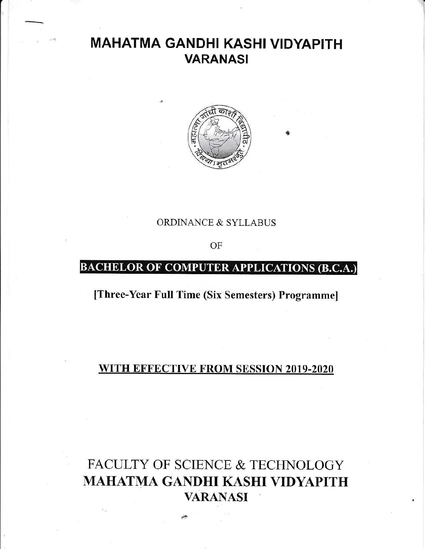## MAHATMA GANDHI KASHI VIDYAPITH VARANASI



9

ORDINANCE & SYLLABUS

OF

## BACHELOR OF COMPUTER APPLICATIONS (B.C.A.)

[Three-Year Full Time (Six Semesters) Programme]

### WITH EFFECTIVE FROM SESSION 2019-2020

# FACULTY OF SCIENCE & TECHNOLOGY MAHATMA GANDHI KASHI VIDYAPITH VARANASI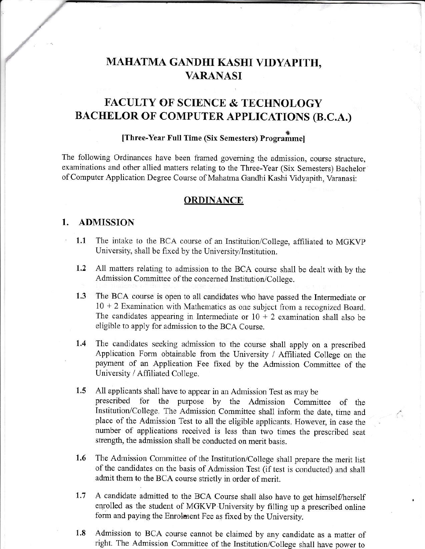## MAHATMA GANDHI KASHI VIDYAPITH, **VARANASI**

### **FACULTY OF SCIENCE & TECHNOLOGY BACHELOR OF COMPUTER APPLICATIONS (B.C.A.)**

#### [Three-Year Full Time (Six Semesters) Programmel

The following Ordinances have been framed governing the admission, course structure, examinations and other allied matters relating to the Three-Year (Six Semesters) Bachelor of Computer Application Degree Course of Mahatma Gandhi Kashi Vidyapith, Varanasi:

#### **ORDINANCE**

#### 1. **ADMISSION**

- The intake to the BCA course of an Institution/College, affiliated to MGKVP  $1.1$ University, shall be fixed by the University/Institution.
- 1.2 All matters relating to admission to the BCA course shall be dealt with by the Admission Committee of the concerned Institution/College.
- $1.3$ The BCA course is open to all candidates who have passed the Intermediate or  $10 + 2$  Examination with Mathematics as one subject from a recognized Board. The candidates appearing in Intermediate or  $10 + 2$  examination shall also be eligible to apply for admission to the BCA Course.
- The candidates seeking admission to the course shall apply on a prescribed  $1.4$ Application Form obtainable from the University / Affiliated College on the payment of an Application Fee fixed by the Admission Committee of the University / Affiliated College.
- $1.5$ All applicants shall have to appear in an Admission Test as may be prescribed for the purpose by the Admission Committee of the Institution/College. The Admission Committee shall inform the date, time and place of the Admission Test to all the eligible applicants. However, in case the number of applications received is less than two times the prescribed seat strength, the admission shall be conducted on merit basis.

L.

- 1.6 The Admission Committee of the Institution/College shall prepare the merit list of the candidates on the basis of Admission Test (if test is conducted) and shall admit them to the BCA course strictly in order of merit.
- A candidate admitted to the BCA Course shall also have to get himself/herself  $1.7$ enrolled as the student of MGKVP-University by filling up a prescribed online form and paying the Enrolment Fee as fixed by the University.
- 1.8 Admission to BCA course cannot be claimed by any candidate as a matter of right. The Admission Committee of the Institution/College shall have power to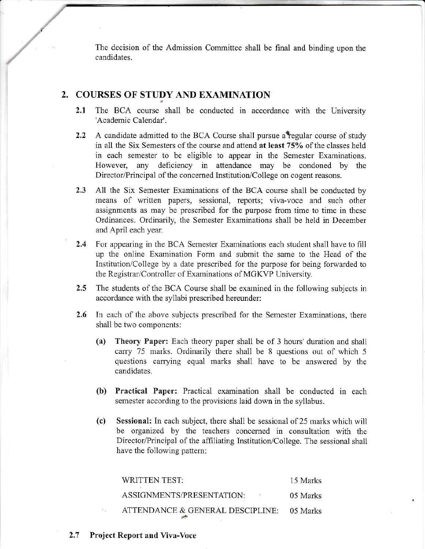The decision of the Admission Committee shall be final and binding upon the candidates.

### 2. COURSES OF STUDY AND EXAMINATION

- $2.1$ The BCA course shall be conducted in accordance with the University 'Academic Calendar'.
- A candidate admitted to the BCA Course shall pursue a regular course of study  $2.2$ in all the Six Semesters of the course and attend at least 75% of the classes held in each semester to be eligible to appear in the Semester Examinations. However, any deficiency in attendance may be condoned by the Director/Principal of the concerned Institution/College on cogent reasons.
- $2.3$ All the Six Semester Examinations of the BCA course shall be conducted by means of written papers, sessional, reports; viva-voce and such other assignments as may be prescribed for the purpose from time to time in these Ordinances. Ordinarily, the Semester Examinations shall be held in December and April each year.
- $2.4$ For appearing in the BCA Semester Examinations each student shall have to fill up the online Examination Form and submit the same to the Head of the Institution/College by a date prescribed for the purpose for being forwarded to the Registrar/Controller of Examinations of MGKVP University.
- $2.5^{\circ}$ The students of the BCA Course shall be examined in the following subjects in accordance with the syllabi prescribed hereunder:
- $2.6^{\circ}$ In each of the above subjects prescribed for the Semester Examinations, there shall be two components:
	- Theory Paper: Each theory paper shall be of 3 hours' duration and shall  $(a)$ carry 75 marks. Ordinarily there shall be 8 questions out of which 5 questions carrying equal marks shall have to be answered by the candidates.
	- (b) Practical Paper: Practical examination shall be conducted in each semester according to the provisions laid down in the syllabus.
	- Sessional: In each subject, there shall be sessional of 25 marks which will (c) be organized by the teachers concerned in consultation with the Director/Principal of the affiliating Institution/College. The sessional shall have the following pattern:

| WRITTEN TEST:                    | 15 Marks |
|----------------------------------|----------|
| ASSIGNMENTS/PRESENTATION:        | 05 Marks |
| ATTENDANCE & GENERAL DESCIPLINE: | 05 Marks |

 $2.7$ **Project Report and Viva-Voce**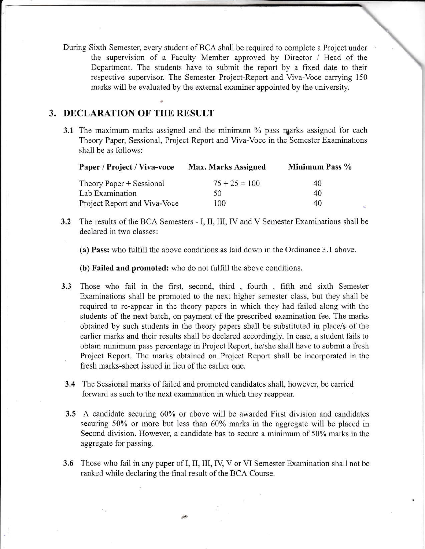During Sixth Semester, every student of BCA shall be required to complete a Project under the supervision of a Faculty Member approved by Director / Head of the Department. The students have to submit the report by a fixed date to their respective supervisor. The Semester Project-Report and Viva-Voce carrying 150 marks will be evaluated by the external examiner appointed by the university.

### 3. DECLARATION OF THE RESULT

3.1 The maximum marks assigned and the minimum % pass marks assigned for each Theory Paper, Sessional, Project Report and Viva-Voce in the Semester Examinations shall be as follows:

| Paper / Project / Viva-voce  | <b>Max. Marks Assigned</b> | Minimum Pass % |
|------------------------------|----------------------------|----------------|
| Theory Paper + Sessional     | $75 + 25 = 100$            | 40             |
| Lab Examination              | 50                         | 40             |
| Project Report and Viva-Voce | 100                        | 40             |

 $3.2$ The results of the BCA Semesters - I, II, III, IV and V Semester Examinations shall be declared in two classes:

(a) Pass: who fulfill the above conditions as laid down in the Ordinance 3.1 above.

(b) Failed and promoted: who do not fulfill the above conditions.

- Those who fail in the first, second, third, fourth, fifth and sixth Semester  $3.3$ Examinations shall be promoted to the next higher semester class, but they shall be required to re-appear in the theory papers in which they had failed along with the students of the next batch, on payment of the prescribed examination fee. The marks obtained by such students in the theory papers shall be substituted in place/s of the earlier marks and their results shall be declared accordingly. In case, a student fails to obtain minimum pass percentage in Project Report, he/she shall have to submit a fresh Project Report. The marks obtained on Project Report shall be incorporated in the fresh marks-sheet issued in lieu of the earlier one.
- 3.4 The Sessional marks of failed and promoted candidates shall, however, be carried forward as such to the next examination in which they reappear.
- 3.5 A candidate securing 60% or above will be awarded First division and candidates securing 50% or more but less than 60% marks in the aggregate will be placed in Second division. However, a candidate has to secure a minimum of 50% marks in the aggregate for passing.
- 3.6 Those who fail in any paper of I, II, III, IV, V or VI Semester Examination shall not be ranked while declaring the final result of the BCA Course.